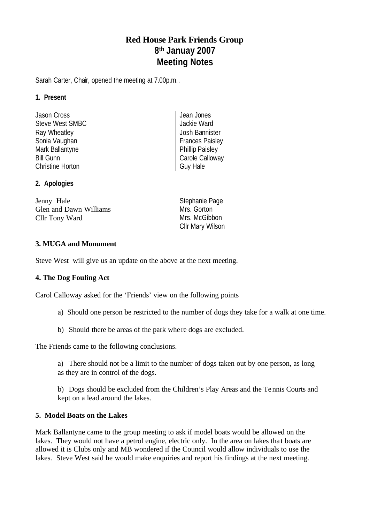# **Red House Park Friends Group 8 th Januay 2007 Meeting Notes**

Sarah Carter, Chair, opened the meeting at 7.00p.m..

# **1. Present**

| Jason Cross             | Jean Jones             |
|-------------------------|------------------------|
| Steve West SMBC         | Jackie Ward            |
| Ray Wheatley            | Josh Bannister         |
| Sonia Vaughan           | <b>Frances Paisley</b> |
| Mark Ballantyne         | <b>Phillip Paisley</b> |
| <b>Bill Gunn</b>        | Carole Calloway        |
| <b>Christine Horton</b> | Guy Hale               |

# **2. Apologies**

| Jenny Hale             | Stephanie Page   |
|------------------------|------------------|
| Glen and Dawn Williams | Mrs. Gorton      |
| Cllr Tony Ward         | Mrs. McGibbon    |
|                        | Cllr Mary Wilson |

# **3. MUGA and Monument**

Steve West will give us an update on the above at the next meeting.

#### **4. The Dog Fouling Act**

Carol Calloway asked for the 'Friends' view on the following points

- a) Should one person be restricted to the number of dogs they take for a walk at one time.
- b) Should there be areas of the park whe re dogs are excluded.

The Friends came to the following conclusions.

a) There should not be a limit to the number of dogs taken out by one person, as long as they are in control of the dogs.

b) Dogs should be excluded from the Children's Play Areas and the Tennis Courts and kept on a lead around the lakes.

#### **5. Model Boats on the Lakes**

Mark Ballantyne came to the group meeting to ask if model boats would be allowed on the lakes. They would not have a petrol engine, electric only. In the area on lakes that boats are allowed it is Clubs only and MB wondered if the Council would allow individuals to use the lakes. Steve West said he would make enquiries and report his findings at the next meeting.